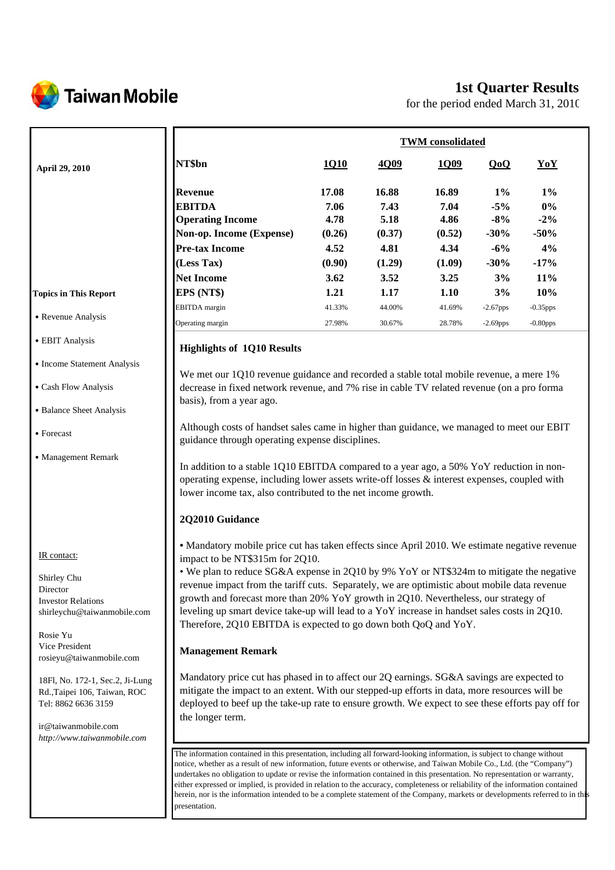

ir@taiwanmobile.com *http://www.taiwanmobile.com*

# **1st Quarter Results**

for the period ended March 31, 2010

|                                                                                                 |                                                                                                                                                                                                                                                                                                                                                                                                                                                                                      | <b>TWM</b> consolidated                                                                                                                                                                                                                                 |        |        |             |             |  |
|-------------------------------------------------------------------------------------------------|--------------------------------------------------------------------------------------------------------------------------------------------------------------------------------------------------------------------------------------------------------------------------------------------------------------------------------------------------------------------------------------------------------------------------------------------------------------------------------------|---------------------------------------------------------------------------------------------------------------------------------------------------------------------------------------------------------------------------------------------------------|--------|--------|-------------|-------------|--|
| April 29, 2010                                                                                  | NT\$bn                                                                                                                                                                                                                                                                                                                                                                                                                                                                               | 1Q10                                                                                                                                                                                                                                                    | 4Q09   | 1Q09   | QoQ         | YoY         |  |
|                                                                                                 | <b>Revenue</b>                                                                                                                                                                                                                                                                                                                                                                                                                                                                       | 17.08                                                                                                                                                                                                                                                   | 16.88  | 16.89  | $1\%$       | $1\%$       |  |
|                                                                                                 | <b>EBITDA</b>                                                                                                                                                                                                                                                                                                                                                                                                                                                                        | 7.06                                                                                                                                                                                                                                                    | 7.43   | 7.04   | $-5%$       | $0\%$       |  |
|                                                                                                 | <b>Operating Income</b>                                                                                                                                                                                                                                                                                                                                                                                                                                                              | 4.78                                                                                                                                                                                                                                                    | 5.18   | 4.86   | $-8%$       | $-2\%$      |  |
|                                                                                                 | Non-op. Income (Expense)                                                                                                                                                                                                                                                                                                                                                                                                                                                             | (0.26)                                                                                                                                                                                                                                                  | (0.37) | (0.52) | $-30%$      | $-50%$      |  |
|                                                                                                 | <b>Pre-tax Income</b>                                                                                                                                                                                                                                                                                                                                                                                                                                                                | 4.52                                                                                                                                                                                                                                                    | 4.81   | 4.34   | $-6%$       | 4%          |  |
|                                                                                                 | (Less Tax)                                                                                                                                                                                                                                                                                                                                                                                                                                                                           | (0.90)                                                                                                                                                                                                                                                  | (1.29) | (1.09) | $-30%$      | $-17%$      |  |
|                                                                                                 | <b>Net Income</b>                                                                                                                                                                                                                                                                                                                                                                                                                                                                    | 3.62                                                                                                                                                                                                                                                    | 3.52   | 3.25   | 3%          | 11%         |  |
| <b>Topics in This Report</b>                                                                    | EPS (NT\$)                                                                                                                                                                                                                                                                                                                                                                                                                                                                           | 1.21                                                                                                                                                                                                                                                    | 1.17   | 1.10   | 3%          | 10%         |  |
|                                                                                                 | <b>EBITDA</b> margin                                                                                                                                                                                                                                                                                                                                                                                                                                                                 | 41.33%                                                                                                                                                                                                                                                  | 44.00% | 41.69% | $-2.67$ pps | $-0.35$ pps |  |
| • Revenue Analysis                                                                              | Operating margin                                                                                                                                                                                                                                                                                                                                                                                                                                                                     | 27.98%                                                                                                                                                                                                                                                  | 30.67% | 28.78% | $-2.69$ pps | $-0.80$ pps |  |
| • EBIT Analysis                                                                                 | <b>Highlights of 1Q10 Results</b>                                                                                                                                                                                                                                                                                                                                                                                                                                                    |                                                                                                                                                                                                                                                         |        |        |             |             |  |
| • Income Statement Analysis                                                                     |                                                                                                                                                                                                                                                                                                                                                                                                                                                                                      |                                                                                                                                                                                                                                                         |        |        |             |             |  |
| • Cash Flow Analysis                                                                            | We met our 1Q10 revenue guidance and recorded a stable total mobile revenue, a mere 1%<br>decrease in fixed network revenue, and 7% rise in cable TV related revenue (on a pro forma                                                                                                                                                                                                                                                                                                 |                                                                                                                                                                                                                                                         |        |        |             |             |  |
|                                                                                                 | basis), from a year ago.                                                                                                                                                                                                                                                                                                                                                                                                                                                             |                                                                                                                                                                                                                                                         |        |        |             |             |  |
| • Balance Sheet Analysis                                                                        |                                                                                                                                                                                                                                                                                                                                                                                                                                                                                      |                                                                                                                                                                                                                                                         |        |        |             |             |  |
| • Forecast                                                                                      | Although costs of handset sales came in higher than guidance, we managed to meet our EBIT<br>guidance through operating expense disciplines.                                                                                                                                                                                                                                                                                                                                         |                                                                                                                                                                                                                                                         |        |        |             |             |  |
| • Management Remark                                                                             |                                                                                                                                                                                                                                                                                                                                                                                                                                                                                      | In addition to a stable 1Q10 EBITDA compared to a year ago, a 50% YoY reduction in non-<br>operating expense, including lower assets write-off losses & interest expenses, coupled with<br>lower income tax, also contributed to the net income growth. |        |        |             |             |  |
|                                                                                                 | 2Q2010 Guidance                                                                                                                                                                                                                                                                                                                                                                                                                                                                      |                                                                                                                                                                                                                                                         |        |        |             |             |  |
| IR contact:                                                                                     | • Mandatory mobile price cut has taken effects since April 2010. We estimate negative revenue                                                                                                                                                                                                                                                                                                                                                                                        |                                                                                                                                                                                                                                                         |        |        |             |             |  |
| Shirley Chu<br>Director<br><b>Investor Relations</b><br>shirleychu@taiwanmobile.com<br>Rosie Yu | impact to be NT\$315m for 2Q10.<br>• We plan to reduce SG&A expense in 2Q10 by 9% YoY or NT\$324m to mitigate the negative<br>revenue impact from the tariff cuts. Separately, we are optimistic about mobile data revenue<br>growth and forecast more than 20% YoY growth in 2Q10. Nevertheless, our strategy of<br>leveling up smart device take-up will lead to a YoY increase in handset sales costs in 2Q10.<br>Therefore, 2Q10 EBITDA is expected to go down both QoQ and YoY. |                                                                                                                                                                                                                                                         |        |        |             |             |  |
| Vice President<br>rosieyu@taiwanmobile.com                                                      | <b>Management Remark</b>                                                                                                                                                                                                                                                                                                                                                                                                                                                             |                                                                                                                                                                                                                                                         |        |        |             |             |  |
| 18Fl, No. 172-1, Sec.2, Ji-Lung<br>Rd., Taipei 106, Taiwan, ROC<br>Tel: 8862 6636 3159          | Mandatory price cut has phased in to affect our 2Q earnings. SG&A savings are expected to<br>mitigate the impact to an extent. With our stepped-up efforts in data, more resources will be<br>deployed to beef up the take-up rate to ensure growth. We expect to see these efforts pay off for<br>the longer term.                                                                                                                                                                  |                                                                                                                                                                                                                                                         |        |        |             |             |  |

The information contained in this presentation, including all forward-looking information, is subject to change without notice, whether as a result of new information, future events or otherwise, and Taiwan Mobile Co., Ltd. (the "Company") undertakes no obligation to update or revise the information contained in this presentation. No representation or warranty, either expressed or implied, is provided in relation to the accuracy, completeness or reliability of the information contained herein, nor is the information intended to be a complete statement of the Company, markets or developments referred to in this presentation.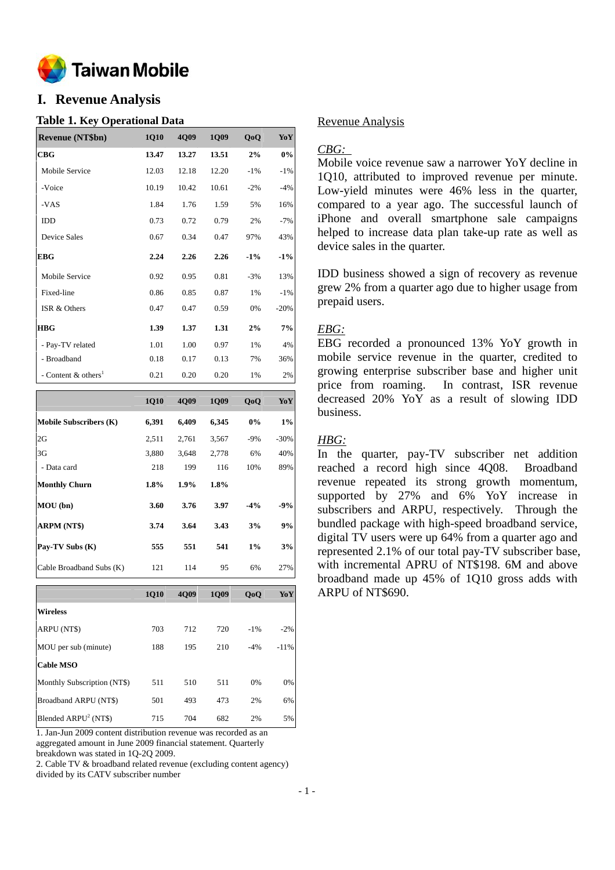

# **I. Revenue Analysis**

#### **Table 1. Key Operational Data**

| <b>Revenue (NT\$bn)</b>         | <b>1Q10</b> | 4Q09  | <b>1Q09</b> | QoQ    | YoY    |
|---------------------------------|-------------|-------|-------------|--------|--------|
| CBG                             | 13.47       | 13.27 | 13.51       | 2%     | $0\%$  |
| Mobile Service                  | 12.03       | 12.18 | 12.20       | $-1\%$ | $-1%$  |
| -Voice                          | 10.19       | 10.42 | 10.61       | $-2\%$ | $-4%$  |
| -VAS                            | 1.84        | 1.76  | 1.59        | 5%     | 16%    |
| <b>IDD</b>                      | 0.73        | 0.72  | 0.79        | 2%     | $-7%$  |
| Device Sales                    | 0.67        | 0.34  | 0.47        | 97%    | 43%    |
| <b>EBG</b>                      | 2.24        | 2.26  | 2.26        | $-1\%$ | $-1\%$ |
| Mobile Service                  | 0.92        | 0.95  | 0.81        | $-3%$  | 13%    |
| Fixed-line                      | 0.86        | 0.85  | 0.87        | 1%     | $-1%$  |
| ISR & Others                    | 0.47        | 0.47  | 0.59        | 0%     | $-20%$ |
| <b>HBG</b>                      | 1.39        | 1.37  | 1.31        | 2%     | 7%     |
| - Pay-TV related                | 1.01        | 1.00  | 0.97        | 1%     | 4%     |
| - Broadband                     | 0.18        | 0.17  | 0.13        | 7%     | 36%    |
| - Content & others <sup>1</sup> | 0.21        | 0.20  | 0.20        | 1%     | 2%     |

|                               | <b>1Q10</b> | 4009  | <b>1Q09</b> | QoQ    | YoY     |
|-------------------------------|-------------|-------|-------------|--------|---------|
| <b>Mobile Subscribers (K)</b> | 6,391       | 6,409 | 6,345       | 0%     | $1\%$   |
| 2G                            | 2,511       | 2,761 | 3,567       | $-9%$  | $-30\%$ |
| 3G                            | 3,880       | 3,648 | 2,778       | 6%     | 40%     |
| - Data card                   | 218         | 199   | 116         | 10%    | 89%     |
| <b>Monthly Churn</b>          | 1.8%        | 1.9%  | 1.8%        |        |         |
| MOU (bn)                      | 3.60        | 3.76  | 3.97        | $-4\%$ | $-9%$   |
| ARPM (NT\$)                   | 3.74        | 3.64  | 3.43        | 3%     | 9%      |
| Pay-TV Subs (K)               | 555         | 551   | 541         | 1%     | 3%      |
| Cable Broadband Subs (K)      | 121         | 114   | 95          | 6%     | 27%     |

|                             | <b>1010</b> | <b>4009</b> | <b>1Q09</b> | QoQ    | YoY    |
|-----------------------------|-------------|-------------|-------------|--------|--------|
| <b>Wireless</b>             |             |             |             |        |        |
| ARPU (NT\$)                 | 703         | 712         | 720         | $-1\%$ | $-2\%$ |
| MOU per sub (minute)        | 188         | 195         | 210         | $-4%$  | $-11%$ |
| <b>Cable MSO</b>            |             |             |             |        |        |
| Monthly Subscription (NT\$) | 511         | 510         | 511         | $0\%$  | $0\%$  |
| Broadband ARPU (NT\$)       | 501         | 493         | 473         | 2%     | 6%     |
| Blended $ARPU2 (NT$)$       | 715         | 704         | 682         | 2%     | 5%     |

1. Jan-Jun 2009 content distribution revenue was recorded as an aggregated amount in June 2009 financial statement. Quarterly breakdown was stated in 1Q-2Q 2009.

2. Cable TV & broadband related revenue (excluding content agency) divided by its CATV subscriber number

## Revenue Analysis

### *CBG:*

Mobile voice revenue saw a narrower YoY decline in 1Q10, attributed to improved revenue per minute. Low-yield minutes were 46% less in the quarter, compared to a year ago. The successful launch of iPhone and overall smartphone sale campaigns helped to increase data plan take-up rate as well as device sales in the quarter.

IDD business showed a sign of recovery as revenue grew 2% from a quarter ago due to higher usage from prepaid users.

#### *EBG:*

EBG recorded a pronounced 13% YoY growth in mobile service revenue in the quarter, credited to growing enterprise subscriber base and higher unit price from roaming. In contrast, ISR revenue decreased 20% YoY as a result of slowing IDD business.

## *HBG:*

In the quarter, pay-TV subscriber net addition reached a record high since 4Q08. Broadband revenue repeated its strong growth momentum, supported by 27% and 6% YoY increase in subscribers and ARPU, respectively. Through the bundled package with high-speed broadband service, digital TV users were up 64% from a quarter ago and represented 2.1% of our total pay-TV subscriber base, with incremental APRU of NT\$198. 6M and above broadband made up 45% of 1Q10 gross adds with ARPU of NT\$690.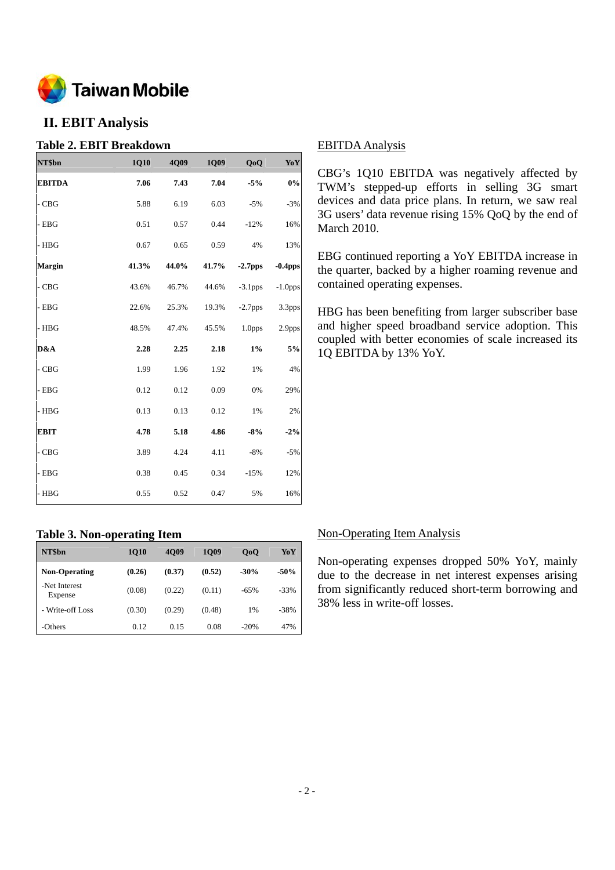

# **II. EBIT Analysis**

# **Table 2. EBIT Breakdown**

| NT\$bn        | 1Q10  | 4Q09  | 1Q09  | QoQ                | YoY        |
|---------------|-------|-------|-------|--------------------|------------|
| <b>EBITDA</b> | 7.06  | 7.43  | 7.04  | $-5%$              | 0%         |
| - CBG         | 5.88  | 6.19  | 6.03  | $-5%$              | $-3%$      |
| - EBG         | 0.51  | 0.57  | 0.44  | $-12%$             | 16%        |
| $-$ HBG       | 0.67  | 0.65  | 0.59  | 4%                 | 13%        |
| <b>Margin</b> | 41.3% | 44.0% | 41.7% | $-2.7pps$          | $-0.4$ pps |
| $-CBG$        | 43.6% | 46.7% | 44.6% | $-3.1$ pps         | $-1.0$ pps |
| - EBG         | 22.6% | 25.3% | 19.3% | $-2.7$ pps         | 3.3pps     |
| - HBG         | 48.5% | 47.4% | 45.5% | 1.0 <sub>pps</sub> | 2.9pps     |
| D&A           | 2.28  | 2.25  | 2.18  | $1\%$              | 5%         |
| - CBG         | 1.99  | 1.96  | 1.92  | 1%                 | 4%         |
| $-$ EBG       | 0.12  | 0.12  | 0.09  | 0%                 | 29%        |
| - HBG         | 0.13  | 0.13  | 0.12  | 1%                 | 2%         |
| <b>EBIT</b>   | 4.78  | 5.18  | 4.86  | $-8%$              | $-2%$      |
| $-CBG$        | 3.89  | 4.24  | 4.11  | $-8%$              | $-5%$      |
| $-$ EBG       | 0.38  | 0.45  | 0.34  | $-15%$             | 12%        |
| - HBG         | 0.55  | 0.52  | 0.47  | 5%                 | 16%        |

# **Table 3. Non-operating Item**

| NT\$bn                   | -<br><b>1010</b> | <b>4009</b> | <b>1009</b> | 0 <sub>0</sub> | YoY    |
|--------------------------|------------------|-------------|-------------|----------------|--------|
| <b>Non-Operating</b>     | (0.26)           | (0.37)      | (0.52)      | $-30%$         | $-50%$ |
| -Net Interest<br>Expense | (0.08)           | (0.22)      | (0.11)      | $-65%$         | $-33%$ |
| - Write-off Loss         | (0.30)           | (0.29)      | (0.48)      | 1%             | $-38%$ |
| -Others                  | 0.12             | 0.15        | 0.08        | $-20%$         | 47%    |

## EBITDA Analysis

CBG's 1Q10 EBITDA was negatively affected by TWM's stepped-up efforts in selling 3G smart devices and data price plans. In return, we saw real 3G users' data revenue rising 15% QoQ by the end of March 2010.

EBG continued reporting a YoY EBITDA increase in the quarter, backed by a higher roaming revenue and contained operating expenses.

HBG has been benefiting from larger subscriber base and higher speed broadband service adoption. This coupled with better economies of scale increased its 1Q EBITDA by 13% YoY.

# Non-Operating Item Analysis

Non-operating expenses dropped 50% YoY, mainly due to the decrease in net interest expenses arising from significantly reduced short-term borrowing and 38% less in write-off losses.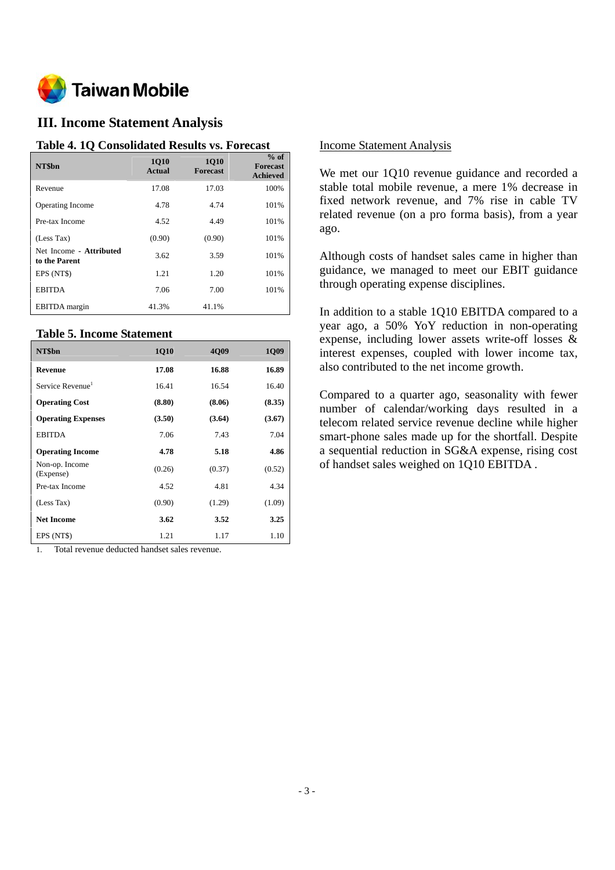

# **III. Income Statement Analysis**

#### **Table 4. 1Q Consolidated Results vs. Forecast**

| NT\$bn                                   | <b>1010</b><br>Actual | <b>1010</b><br><b>Forecast</b> | $%$ of<br><b>Forecast</b><br><b>Achieved</b> |
|------------------------------------------|-----------------------|--------------------------------|----------------------------------------------|
| Revenue                                  | 17.08                 | 17.03                          | 100%                                         |
| <b>Operating Income</b>                  | 4.78                  | 4.74                           | 101%                                         |
| Pre-tax Income                           | 4.52                  | 4.49                           | 101%                                         |
| (Less Tax)                               | (0.90)                | (0.90)                         | 101%                                         |
| Net Income - Attributed<br>to the Parent | 3.62                  | 3.59                           | 101%                                         |
| EPS (NT\$)                               | 1.21                  | 1.20                           | 101%                                         |
| <b>EBITDA</b>                            | 7.06                  | 7.00                           | 101%                                         |
| <b>EBITDA</b> margin                     | 41.3%                 | 41.1%                          |                                              |

## **Table 5. Income Statement**

| NT\$bn                       | <b>1Q10</b> | 4009   | <b>1Q09</b> |
|------------------------------|-------------|--------|-------------|
| Revenue                      | 17.08       | 16.88  | 16.89       |
| Service Revenue <sup>1</sup> | 16.41       | 16.54  | 16.40       |
| <b>Operating Cost</b>        | (8.80)      | (8.06) | (8.35)      |
| <b>Operating Expenses</b>    | (3.50)      | (3.64) | (3.67)      |
| <b>EBITDA</b>                | 7.06        | 7.43   | 7.04        |
| <b>Operating Income</b>      | 4.78        | 5.18   | 4.86        |
| Non-op. Income<br>(Expense)  | (0.26)      | (0.37) | (0.52)      |
| Pre-tax Income               | 4.52        | 4.81   | 4.34        |
| (Less Tax)                   | (0.90)      | (1.29) | (1.09)      |
| <b>Net Income</b>            | 3.62        | 3.52   | 3.25        |
| EPS (NT\$)                   | 1.21        | 1.17   | 1.10        |

1. Total revenue deducted handset sales revenue.

#### Income Statement Analysis

We met our 1Q10 revenue guidance and recorded a stable total mobile revenue, a mere 1% decrease in fixed network revenue, and 7% rise in cable TV related revenue (on a pro forma basis), from a year ago.

Although costs of handset sales came in higher than guidance, we managed to meet our EBIT guidance through operating expense disciplines.

In addition to a stable 1Q10 EBITDA compared to a year ago, a 50% YoY reduction in non-operating expense, including lower assets write-off losses & interest expenses, coupled with lower income tax, also contributed to the net income growth.

Compared to a quarter ago, seasonality with fewer number of calendar/working days resulted in a telecom related service revenue decline while higher smart-phone sales made up for the shortfall. Despite a sequential reduction in SG&A expense, rising cost of handset sales weighed on 1Q10 EBITDA .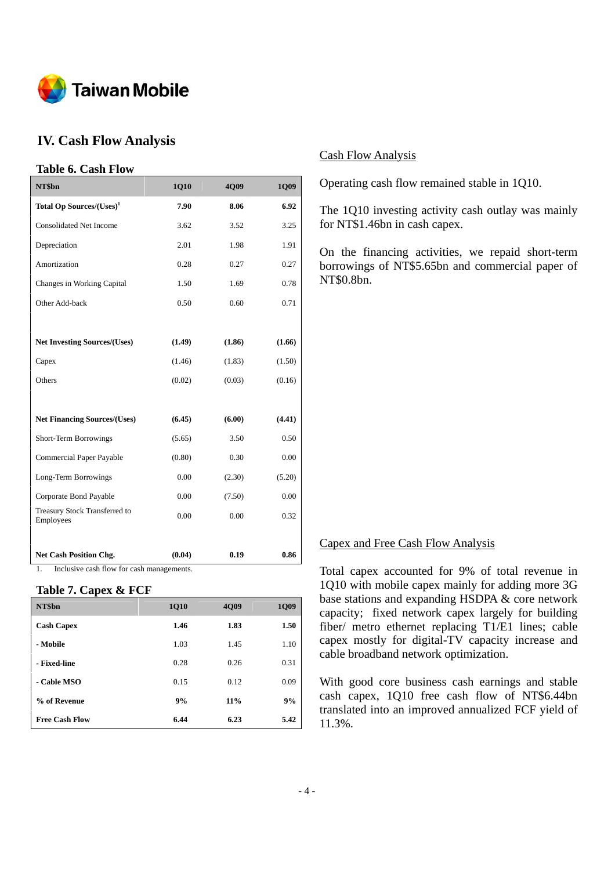

# **IV. Cash Flow Analysis**

# **Table 6. Cash Flow**

| NT\$bn                                     | 1Q10   | 4Q09   | 1Q09   |
|--------------------------------------------|--------|--------|--------|
| Total Op Sources/(Uses) <sup>1</sup>       | 7.90   | 8.06   | 6.92   |
| <b>Consolidated Net Income</b>             | 3.62   | 3.52   | 3.25   |
| Depreciation                               | 2.01   | 1.98   | 1.91   |
| Amortization                               | 0.28   | 0.27   | 0.27   |
| Changes in Working Capital                 | 1.50   | 1.69   | 0.78   |
| Other Add-back                             | 0.50   | 0.60   | 0.71   |
|                                            |        |        |        |
| <b>Net Investing Sources/(Uses)</b>        | (1.49) | (1.86) | (1.66) |
| Capex                                      | (1.46) | (1.83) | (1.50) |
| Others                                     | (0.02) | (0.03) | (0.16) |
|                                            |        |        |        |
| <b>Net Financing Sources/(Uses)</b>        | (6.45) | (6.00) | (4.41) |
| Short-Term Borrowings                      | (5.65) | 3.50   | 0.50   |
| <b>Commercial Paper Payable</b>            | (0.80) | 0.30   | 0.00   |
| Long-Term Borrowings                       | 0.00   | (2.30) | (5.20) |
| Corporate Bond Payable                     | 0.00   | (7.50) | 0.00   |
| Treasury Stock Transferred to<br>Employees | 0.00   | 0.00   | 0.32   |
| <b>Net Cash Position Chg.</b>              | (0.04) | 0.19   | 0.86   |

1. Inclusive cash flow for cash managements.

#### **Table 7. Capex & FCF**

| NT\$bn                | <b>1Q10</b> | 4Q09 | <b>1Q09</b> |
|-----------------------|-------------|------|-------------|
| <b>Cash Capex</b>     | 1.46        | 1.83 | 1.50        |
| - Mobile              | 1.03        | 1.45 | 1.10        |
| - Fixed-line          | 0.28        | 0.26 | 0.31        |
| - Cable MSO           | 0.15        | 0.12 | 0.09        |
| % of Revenue          | 9%          | 11%  | 9%          |
| <b>Free Cash Flow</b> | 6.44        | 6.23 | 5.42        |

### Cash Flow Analysis

Operating cash flow remained stable in 1Q10.

The 1Q10 investing activity cash outlay was mainly for NT\$1.46bn in cash capex.

On the financing activities, we repaid short-term borrowings of NT\$5.65bn and commercial paper of NT\$0.8bn.

#### Capex and Free Cash Flow Analysis

Total capex accounted for 9% of total revenue in 1Q10 with mobile capex mainly for adding more 3G base stations and expanding HSDPA & core network capacity; fixed network capex largely for building fiber/ metro ethernet replacing T1/E1 lines; cable capex mostly for digital-TV capacity increase and cable broadband network optimization.

With good core business cash earnings and stable cash capex, 1Q10 free cash flow of NT\$6.44bn translated into an improved annualized FCF yield of 11.3%.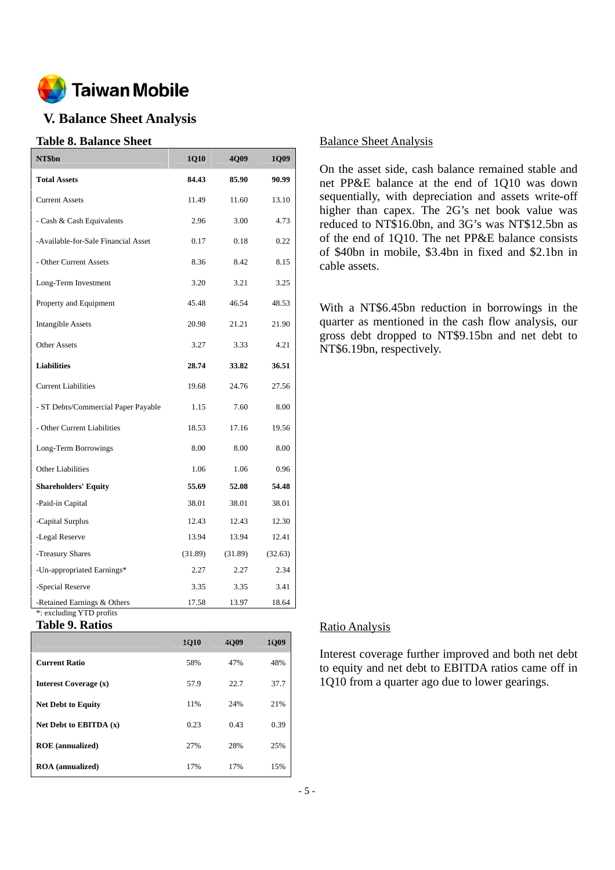

# **V. Balance Sheet Analysis**

# **Table 8. Balance Sheet**

| NT\$bn                                                  | 1Q10    | 4Q09    | <b>1Q09</b> |
|---------------------------------------------------------|---------|---------|-------------|
| <b>Total Assets</b>                                     | 84.43   | 85.90   | 90.99       |
| <b>Current Assets</b>                                   | 11.49   | 11.60   | 13.10       |
| - Cash & Cash Equivalents                               | 2.96    | 3.00    | 4.73        |
| -Available-for-Sale Financial Asset                     | 0.17    | 0.18    | 0.22        |
| - Other Current Assets                                  | 8.36    | 8.42    | 8.15        |
| Long-Term Investment                                    | 3.20    | 3.21    | 3.25        |
| Property and Equipment                                  | 45.48   | 46.54   | 48.53       |
| <b>Intangible Assets</b>                                | 20.98   | 21.21   | 21.90       |
| <b>Other Assets</b>                                     | 3.27    | 3.33    | 4.21        |
| <b>Liabilities</b>                                      | 28.74   | 33.82   | 36.51       |
| <b>Current Liabilities</b>                              | 19.68   | 24.76   | 27.56       |
| - ST Debts/Commercial Paper Payable                     | 1.15    | 7.60    | 8.00        |
| - Other Current Liabilities                             | 18.53   | 17.16   | 19.56       |
| Long-Term Borrowings                                    | 8.00    | 8.00    | 8.00        |
| <b>Other Liabilities</b>                                | 1.06    | 1.06    | 0.96        |
| <b>Shareholders' Equity</b>                             | 55.69   | 52.08   | 54.48       |
| -Paid-in Capital                                        | 38.01   | 38.01   | 38.01       |
| -Capital Surplus                                        | 12.43   | 12.43   | 12.30       |
| -Legal Reserve                                          | 13.94   | 13.94   | 12.41       |
| -Treasury Shares                                        | (31.89) | (31.89) | (32.63)     |
| -Un-appropriated Earnings*                              | 2.27    | 2.27    | 2.34        |
| -Special Reserve                                        | 3.35    | 3.35    | 3.41        |
| -Retained Earnings & Others<br>*: excluding YTD profits | 17.58   | 13.97   | 18.64       |

#### **Table 9. Ratios**

|                              | <b>1Q10</b> | 4009 | 1009 |
|------------------------------|-------------|------|------|
| <b>Current Ratio</b>         | 58%         | 47%  | 48%  |
| <b>Interest Coverage (x)</b> | 57.9        | 22.7 | 37.7 |
| <b>Net Debt to Equity</b>    | 11%         | 24%  | 21%  |
| Net Debt to EBITDA $(x)$     | 0.23        | 0.43 | 0.39 |
| <b>ROE</b> (annualized)      | 27%         | 28%  | 25%  |
| <b>ROA</b> (annualized)      | 17%         | 17%  | 15%  |

#### Balance Sheet Analysis

On the asset side, cash balance remained stable and net PP&E balance at the end of 1Q10 was down sequentially, with depreciation and assets write-off higher than capex. The 2G's net book value was reduced to NT\$16.0bn, and 3G's was NT\$12.5bn as of the end of 1Q10. The net PP&E balance consists of \$40bn in mobile, \$3.4bn in fixed and \$2.1bn in cable assets.

With a NT\$6.45bn reduction in borrowings in the quarter as mentioned in the cash flow analysis, our gross debt dropped to NT\$9.15bn and net debt to NT\$6.19bn, respectively.

#### Ratio Analysis

Interest coverage further improved and both net debt to equity and net debt to EBITDA ratios came off in 1Q10 from a quarter ago due to lower gearings.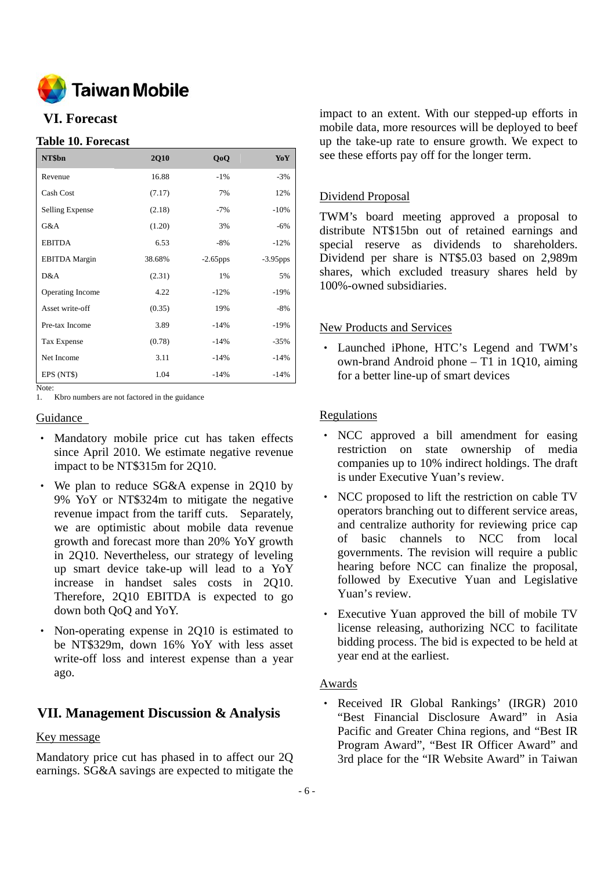

# **VI. Forecast**

#### **Table 10. Forecast**

| NT\$bn               | <b>2Q10</b> | QoQ         | YoY         |
|----------------------|-------------|-------------|-------------|
| Revenue              | 16.88       | $-1\%$      | $-3%$       |
| Cash Cost            | (7.17)      | 7%          | 12%         |
| Selling Expense      | (2.18)      | $-7%$       | $-10%$      |
| G&A                  | (1.20)      | 3%          | $-6%$       |
| <b>EBITDA</b>        | 6.53        | $-8%$       | $-12%$      |
| <b>EBITDA</b> Margin | 38.68%      | $-2.65$ pps | $-3.95$ pps |
| D&A                  | (2.31)      | 1%          | 5%          |
| Operating Income     | 4.22        | $-12%$      | $-19%$      |
| Asset write-off      | (0.35)      | 19%         | $-8%$       |
| Pre-tax Income       | 3.89        | $-14%$      | $-19%$      |
| Tax Expense          | (0.78)      | $-14%$      | $-35%$      |
| Net Income           | 3.11        | $-14%$      | $-14%$      |
| EPS (NT\$)           | 1.04        | $-14%$      | $-14%$      |

Note:

1. Kbro numbers are not factored in the guidance

#### Guidance

- Mandatory mobile price cut has taken effects since April 2010. We estimate negative revenue impact to be NT\$315m for 2Q10.
- We plan to reduce SG&A expense in 2Q10 by 9% YoY or NT\$324m to mitigate the negative revenue impact from the tariff cuts. Separately, we are optimistic about mobile data revenue growth and forecast more than 20% YoY growth in 2Q10. Nevertheless, our strategy of leveling up smart device take-up will lead to a YoY increase in handset sales costs in 2Q10. Therefore, 2Q10 EBITDA is expected to go down both QoQ and YoY.
- ‧ Non-operating expense in 2Q10 is estimated to be NT\$329m, down 16% YoY with less asset write-off loss and interest expense than a year ago.

# **VII. Management Discussion & Analysis**

#### Key message

Mandatory price cut has phased in to affect our 2Q earnings. SG&A savings are expected to mitigate the impact to an extent. With our stepped-up efforts in mobile data, more resources will be deployed to beef up the take-up rate to ensure growth. We expect to see these efforts pay off for the longer term.

## Dividend Proposal

TWM's board meeting approved a proposal to distribute NT\$15bn out of retained earnings and special reserve as dividends to shareholders. Dividend per share is NT\$5.03 based on 2,989m shares, which excluded treasury shares held by 100%-owned subsidiaries.

### New Products and Services

‧ Launched iPhone, HTC's Legend and TWM's own-brand Android phone – T1 in 1Q10, aiming for a better line-up of smart devices

## Regulations

- ‧ NCC approved a bill amendment for easing restriction on state ownership of media companies up to 10% indirect holdings. The draft is under Executive Yuan's review.
- NCC proposed to lift the restriction on cable TV operators branching out to different service areas, and centralize authority for reviewing price cap of basic channels to NCC from local governments. The revision will require a public hearing before NCC can finalize the proposal, followed by Executive Yuan and Legislative Yuan's review.
- Executive Yuan approved the bill of mobile TV license releasing, authorizing NCC to facilitate bidding process. The bid is expected to be held at year end at the earliest.

### Awards

‧ Received IR Global Rankings' (IRGR) 2010 "Best Financial Disclosure Award" in Asia Pacific and Greater China regions, and "Best IR Program Award", "Best IR Officer Award" and 3rd place for the "IR Website Award" in Taiwan